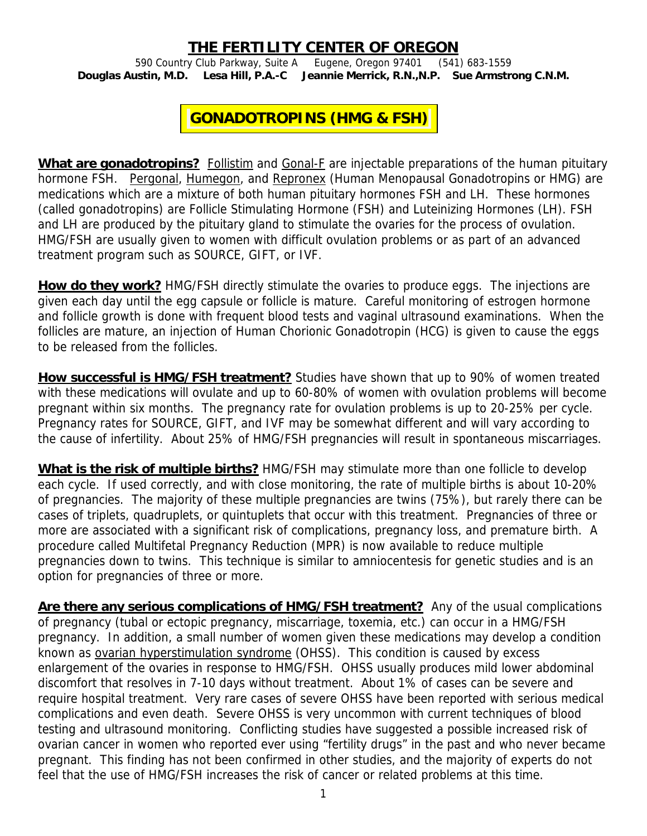## **THE FERTILITY CENTER OF OREGON**

590 Country Club Parkway, Suite A Eugene, Oregon 97401 (541) 683-1559 **Douglas Austin, M.D. Lesa Hill, P.A.-C Jeannie Merrick, R.N.,N.P. Sue Armstrong C.N.M.** 

## **GONADOTROPINS (HMG & FSH)**

**What are gonadotropins?** Follistim and Gonal-F are injectable preparations of the human pituitary hormone FSH. Pergonal, Humegon, and Repronex (Human Menopausal Gonadotropins or HMG) are medications which are a mixture of both human pituitary hormones FSH and LH. These hormones (called gonadotropins) are Follicle Stimulating Hormone (FSH) and Luteinizing Hormones (LH). FSH and LH are produced by the pituitary gland to stimulate the ovaries for the process of ovulation. HMG/FSH are usually given to women with difficult ovulation problems or as part of an advanced treatment program such as SOURCE, GIFT, or IVF.

**How do they work?** HMG/FSH directly stimulate the ovaries to produce eggs. The injections are given each day until the egg capsule or follicle is mature. Careful monitoring of estrogen hormone and follicle growth is done with frequent blood tests and vaginal ultrasound examinations. When the follicles are mature, an injection of Human Chorionic Gonadotropin (HCG) is given to cause the eggs to be released from the follicles.

**How successful is HMG/FSH treatment?** Studies have shown that up to 90% of women treated with these medications will ovulate and up to 60-80% of women with ovulation problems will become pregnant within six months. The pregnancy rate for ovulation problems is up to 20-25% per cycle. Pregnancy rates for SOURCE, GIFT, and IVF may be somewhat different and will vary according to the cause of infertility. About 25% of HMG/FSH pregnancies will result in spontaneous miscarriages.

**What is the risk of multiple births?** HMG/FSH may stimulate more than one follicle to develop each cycle. If used correctly, and with close monitoring, the rate of multiple births is about 10-20% of pregnancies. The majority of these multiple pregnancies are twins (75%), but rarely there can be cases of triplets, quadruplets, or quintuplets that occur with this treatment. Pregnancies of three or more are associated with a significant risk of complications, pregnancy loss, and premature birth. A procedure called Multifetal Pregnancy Reduction (MPR) is now available to reduce multiple pregnancies down to twins. This technique is similar to amniocentesis for genetic studies and is an option for pregnancies of three or more.

**Are there any serious complications of HMG/FSH treatment?** Any of the usual complications of pregnancy (tubal or ectopic pregnancy, miscarriage, toxemia, etc.) can occur in a HMG/FSH pregnancy. In addition, a small number of women given these medications may develop a condition known as ovarian hyperstimulation syndrome (OHSS). This condition is caused by excess enlargement of the ovaries in response to HMG/FSH. OHSS usually produces mild lower abdominal discomfort that resolves in 7-10 days without treatment. About 1% of cases can be severe and require hospital treatment. Very rare cases of severe OHSS have been reported with serious medical complications and even death. Severe OHSS is very uncommon with current techniques of blood testing and ultrasound monitoring. Conflicting studies have suggested a possible increased risk of ovarian cancer in women who reported ever using "fertility drugs" in the past and who never became pregnant. This finding has not been confirmed in other studies, and the majority of experts do not feel that the use of HMG/FSH increases the risk of cancer or related problems at this time.